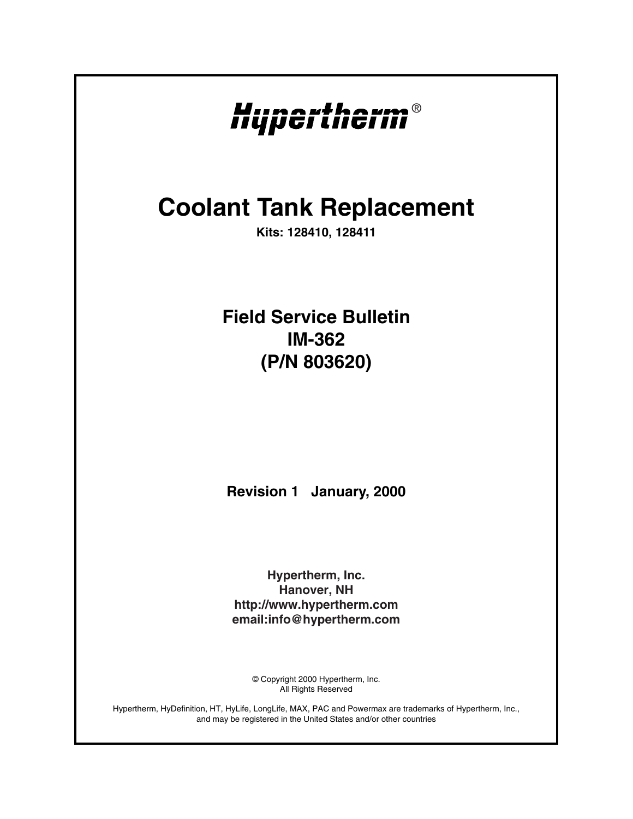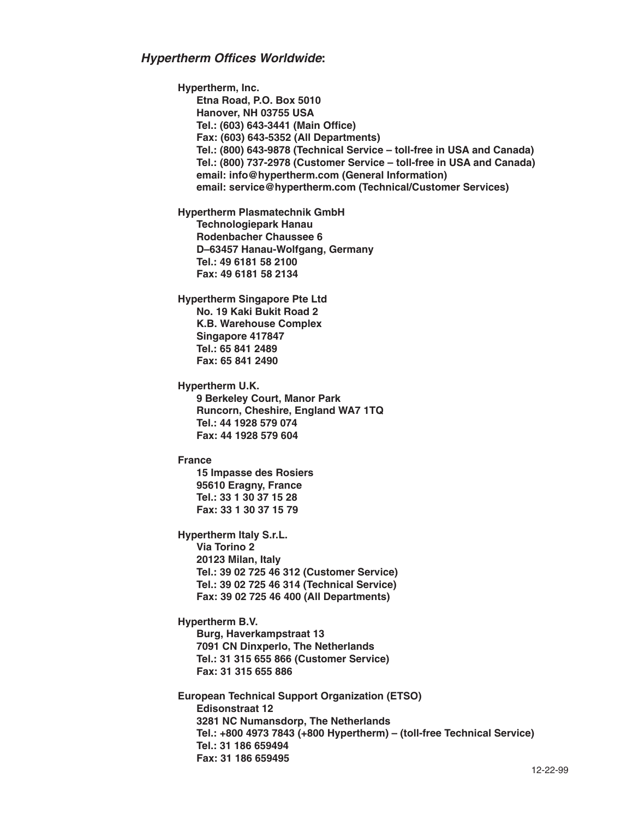**Hypertherm, Inc. Etna Road, P.O. Box 5010 Hanover, NH 03755 USA Tel.: (603) 643-3441 (Main Office) Fax: (603) 643-5352 (All Departments) Tel.: (800) 643-9878 (Technical Service – toll-free in USA and Canada) Tel.: (800) 737-2978 (Customer Service – toll-free in USA and Canada) email: info@hypertherm.com (General Information) email: service@hypertherm.com (Technical/Customer Services) Hypertherm Plasmatechnik GmbH Technologiepark Hanau Rodenbacher Chaussee 6 D–63457 Hanau-Wolfgang, Germany Tel.: 49 6181 58 2100 Fax: 49 6181 58 2134 Hypertherm Singapore Pte Ltd No. 19 Kaki Bukit Road 2 K.B. Warehouse Complex Singapore 417847 Tel.: 65 841 2489 Fax: 65 841 2490 Hypertherm U.K. 9 Berkeley Court, Manor Park Runcorn, Cheshire, England WA7 1TQ Tel.: 44 1928 579 074 Fax: 44 1928 579 604 France 15 Impasse des Rosiers 95610 Eragny, France Tel.: 33 1 30 37 15 28 Fax: 33 1 30 37 15 79 Hypertherm Italy S.r.L. Via Torino 2 20123 Milan, Italy Tel.: 39 02 725 46 312 (Customer Service) Tel.: 39 02 725 46 314 (Technical Service) Fax: 39 02 725 46 400 (All Departments) Hypertherm B.V. Burg, Haverkampstraat 13 7091 CN Dinxperlo, The Netherlands Tel.: 31 315 655 866 (Customer Service) Fax: 31 315 655 886 European Technical Support Organization (ETSO) Edisonstraat 12 3281 NC Numansdorp, The Netherlands Tel.: +800 4973 7843 (+800 Hypertherm) – (toll-free Technical Service) Tel.: 31 186 659494 Fax: 31 186 659495**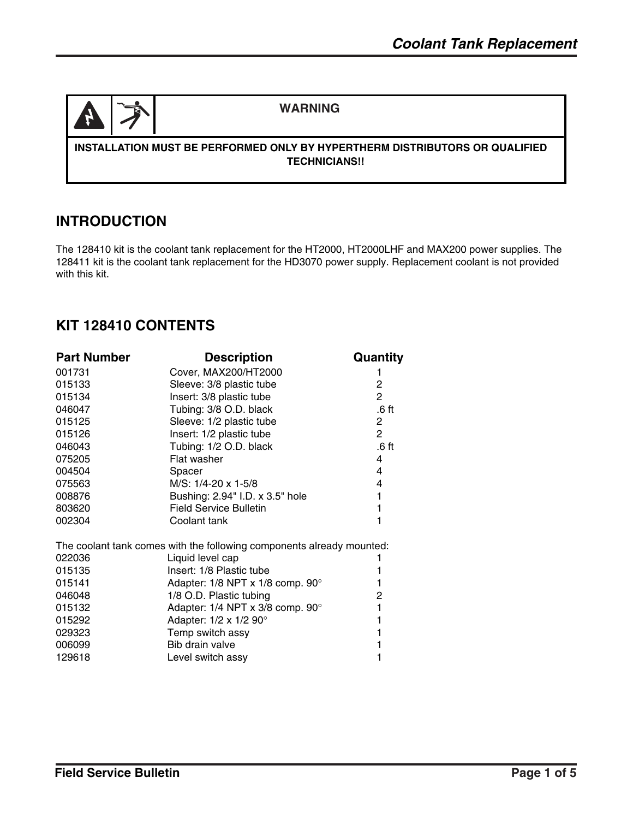

#### **WARNING**

#### **INSTALLATION MUST BE PERFORMED ONLY BY HYPERTHERM DISTRIBUTORS OR QUALIFIED TECHNICIANS!!**

### **INTRODUCTION**

The 128410 kit is the coolant tank replacement for the HT2000, HT2000LHF and MAX200 power supplies. The 128411 kit is the coolant tank replacement for the HD3070 power supply. Replacement coolant is not provided with this kit.

### **KIT 128410 CONTENTS**

| <b>Part Number</b>                                                    | <b>Description</b>                          | Quantity         |  |
|-----------------------------------------------------------------------|---------------------------------------------|------------------|--|
| 001731                                                                | Cover, MAX200/HT2000                        | 1                |  |
| 015133                                                                | Sleeve: 3/8 plastic tube                    | $\overline{2}$   |  |
| 015134                                                                | Insert: 3/8 plastic tube                    | $\overline{2}$   |  |
| 046047                                                                | Tubing: 3/8 O.D. black                      | .6 ft            |  |
| 015125                                                                | Sleeve: 1/2 plastic tube                    | 2                |  |
| 015126                                                                | Insert: 1/2 plastic tube                    | $\overline{2}$   |  |
| 046043                                                                | Tubing: 1/2 O.D. black                      | .6 <sub>ft</sub> |  |
| 075205                                                                | Flat washer                                 | 4                |  |
| 004504                                                                | Spacer                                      | 4                |  |
| 075563                                                                | M/S: 1/4-20 x 1-5/8                         | 4                |  |
| 008876                                                                | Bushing: 2.94" I.D. x 3.5" hole             | 1                |  |
| 803620                                                                | <b>Field Service Bulletin</b>               | 1                |  |
| 002304                                                                | Coolant tank                                | 1                |  |
| The coolant tank comes with the following components already mounted: |                                             |                  |  |
| 022036                                                                | Liquid level cap                            |                  |  |
| 015135                                                                | Insert: 1/8 Plastic tube                    | 1                |  |
| 015141                                                                | Adapter: $1/8$ NPT x $1/8$ comp. $90^\circ$ | 1                |  |
| 046048                                                                | 1/8 O.D. Plastic tubing                     | 2                |  |
| 015132                                                                | Adapter: 1/4 NPT x 3/8 comp. 90°            | 1                |  |
| 015292                                                                | Adapter: 1/2 x 1/2 90°                      | 1                |  |
| 029323                                                                | Temp switch assy                            | 1                |  |
| 006099                                                                | Bib drain valve                             | 1                |  |
| 129618                                                                | Level switch assy                           |                  |  |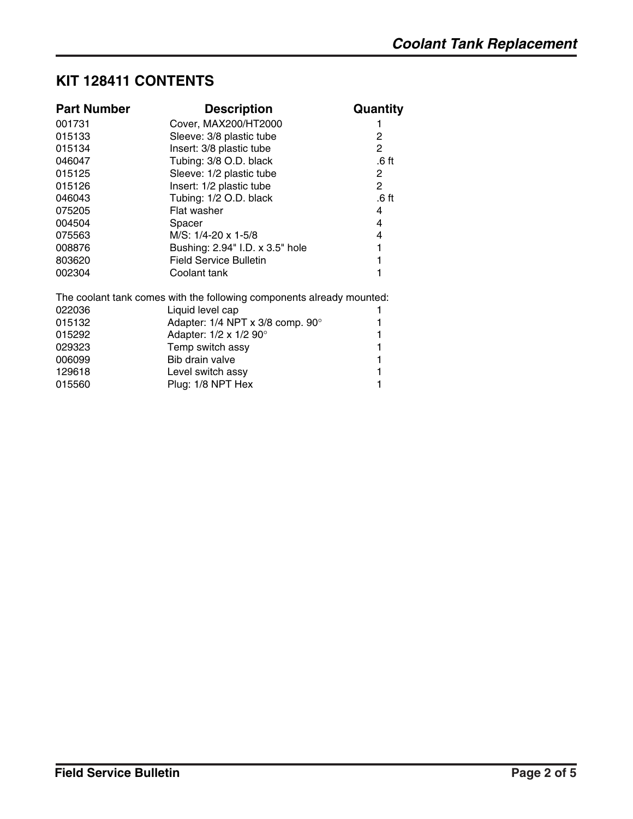# **KIT 128411 CONTENTS**

| <b>Part Number</b>                                                    | <b>Description</b>                           | Quantity              |  |
|-----------------------------------------------------------------------|----------------------------------------------|-----------------------|--|
| 001731                                                                | Cover, MAX200/HT2000                         |                       |  |
| 015133                                                                | Sleeve: 3/8 plastic tube                     | $\overline{2}$        |  |
| 015134                                                                | Insert: 3/8 plastic tube                     | $\overline{2}$        |  |
| 046047                                                                | Tubing: 3/8 O.D. black                       | .6 ft                 |  |
| 015125                                                                | Sleeve: 1/2 plastic tube                     | 2                     |  |
| 015126                                                                | Insert: 1/2 plastic tube                     | $\mathbf{2}^{\prime}$ |  |
| 046043                                                                | Tubing: 1/2 O.D. black                       | .6 ft                 |  |
| 075205                                                                | Flat washer                                  | 4                     |  |
| 004504                                                                | Spacer                                       | 4                     |  |
| 075563                                                                | M/S: 1/4-20 x 1-5/8                          | 4                     |  |
| 008876                                                                | Bushing: 2.94" I.D. x 3.5" hole              | 1                     |  |
| 803620                                                                | <b>Field Service Bulletin</b>                |                       |  |
| 002304                                                                | Coolant tank                                 |                       |  |
| The coolant tank comes with the following components already mounted: |                                              |                       |  |
| 022036                                                                | Liquid level cap                             |                       |  |
| 015132                                                                | Adapter: $1/4$ NPT x 3/8 comp. 90 $^{\circ}$ |                       |  |
| 015292                                                                | Adapter: 1/2 x 1/2 90°                       |                       |  |
| 029323                                                                | Temp switch assy                             |                       |  |
| 006099                                                                | Bib drain valve                              |                       |  |
| 129618                                                                | Level switch assy                            |                       |  |
| 015560                                                                | Plug: 1/8 NPT Hex                            |                       |  |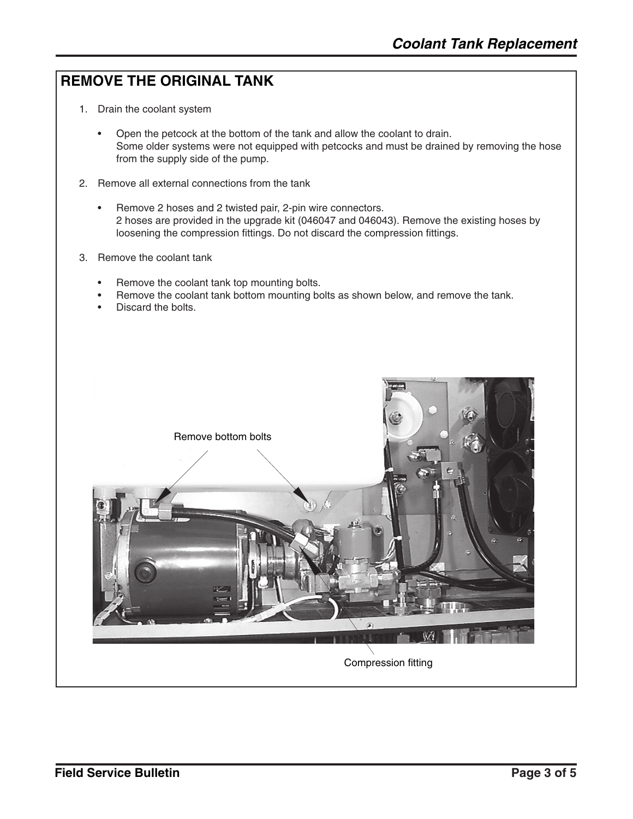# **REMOVE THE ORIGINAL TANK**

- 1. Drain the coolant system
	- Open the petcock at the bottom of the tank and allow the coolant to drain. Some older systems were not equipped with petcocks and must be drained by removing the hose from the supply side of the pump.
- 2. Remove all external connections from the tank
	- Remove 2 hoses and 2 twisted pair, 2-pin wire connectors. 2 hoses are provided in the upgrade kit (046047 and 046043). Remove the existing hoses by loosening the compression fittings. Do not discard the compression fittings.
- 3. Remove the coolant tank
	- Remove the coolant tank top mounting bolts.
	- Remove the coolant tank bottom mounting bolts as shown below, and remove the tank.
	- Discard the bolts.

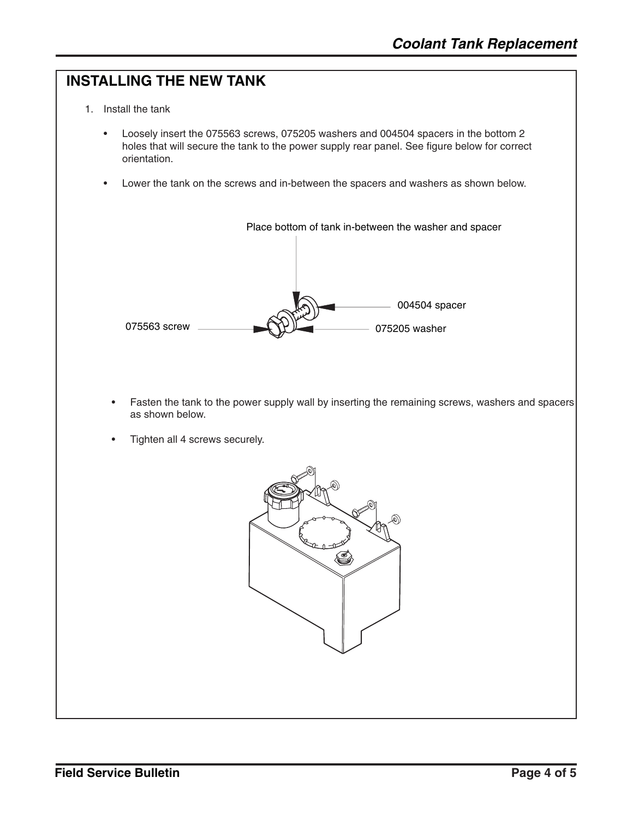# **INSTALLING THE NEW TANK** 1. Install the tank • Loosely insert the 075563 screws, 075205 washers and 004504 spacers in the bottom 2 holes that will secure the tank to the power supply rear panel. See figure below for correct orientation. Lower the tank on the screws and in-between the spacers and washers as shown below. 075563 screw 075205 washer 004504 spacer Place bottom of tank in-between the washer and spacer • Fasten the tank to the power supply wall by inserting the remaining screws, washers and spacers as shown below. • Tighten all 4 screws securely.